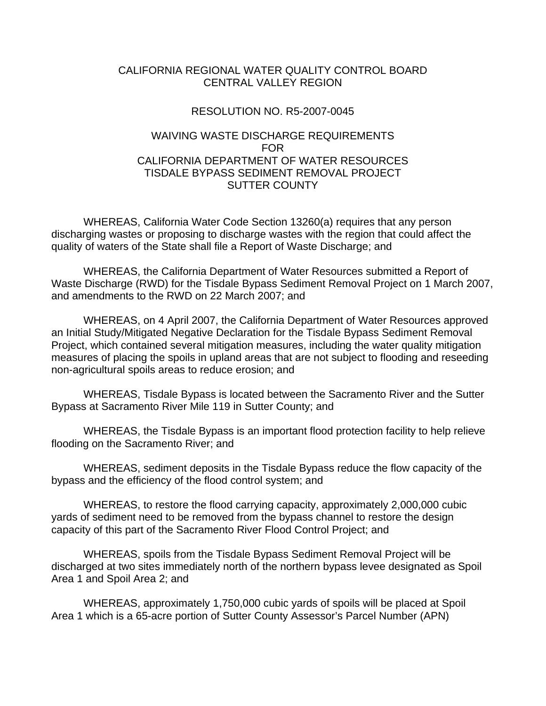## CALIFORNIA REGIONAL WATER QUALITY CONTROL BOARD CENTRAL VALLEY REGION

## RESOLUTION NO. R5-2007-0045

## WAIVING WASTE DISCHARGE REQUIREMENTS FOR CALIFORNIA DEPARTMENT OF WATER RESOURCES TISDALE BYPASS SEDIMENT REMOVAL PROJECT SUTTER COUNTY

 WHEREAS, California Water Code Section 13260(a) requires that any person discharging wastes or proposing to discharge wastes with the region that could affect the quality of waters of the State shall file a Report of Waste Discharge; and

 WHEREAS, the California Department of Water Resources submitted a Report of Waste Discharge (RWD) for the Tisdale Bypass Sediment Removal Project on 1 March 2007, and amendments to the RWD on 22 March 2007; and

 WHEREAS, on 4 April 2007, the California Department of Water Resources approved an Initial Study/Mitigated Negative Declaration for the Tisdale Bypass Sediment Removal Project, which contained several mitigation measures, including the water quality mitigation measures of placing the spoils in upland areas that are not subject to flooding and reseeding non-agricultural spoils areas to reduce erosion; and

 WHEREAS, Tisdale Bypass is located between the Sacramento River and the Sutter Bypass at Sacramento River Mile 119 in Sutter County; and

 WHEREAS, the Tisdale Bypass is an important flood protection facility to help relieve flooding on the Sacramento River; and

 WHEREAS, sediment deposits in the Tisdale Bypass reduce the flow capacity of the bypass and the efficiency of the flood control system; and

 WHEREAS, to restore the flood carrying capacity, approximately 2,000,000 cubic yards of sediment need to be removed from the bypass channel to restore the design capacity of this part of the Sacramento River Flood Control Project; and

 WHEREAS, spoils from the Tisdale Bypass Sediment Removal Project will be discharged at two sites immediately north of the northern bypass levee designated as Spoil Area 1 and Spoil Area 2; and

 WHEREAS, approximately 1,750,000 cubic yards of spoils will be placed at Spoil Area 1 which is a 65-acre portion of Sutter County Assessor's Parcel Number (APN)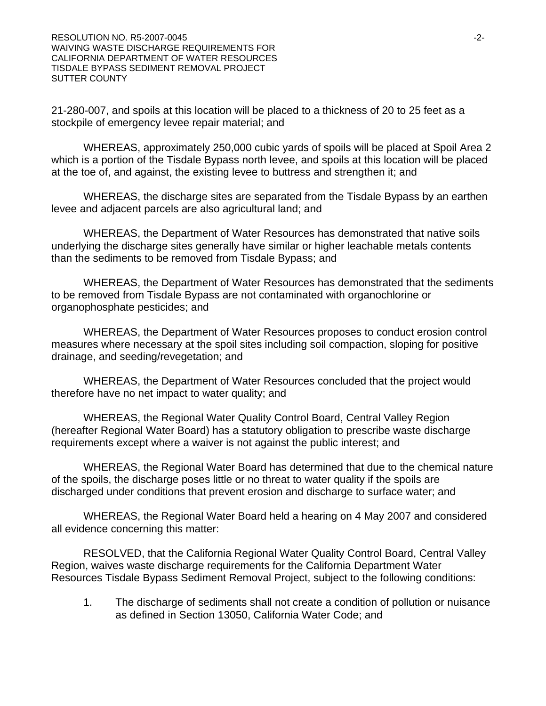21-280-007, and spoils at this location will be placed to a thickness of 20 to 25 feet as a stockpile of emergency levee repair material; and

 WHEREAS, approximately 250,000 cubic yards of spoils will be placed at Spoil Area 2 which is a portion of the Tisdale Bypass north levee, and spoils at this location will be placed at the toe of, and against, the existing levee to buttress and strengthen it; and

WHEREAS, the discharge sites are separated from the Tisdale Bypass by an earthen levee and adjacent parcels are also agricultural land; and

 WHEREAS, the Department of Water Resources has demonstrated that native soils underlying the discharge sites generally have similar or higher leachable metals contents than the sediments to be removed from Tisdale Bypass; and

 WHEREAS, the Department of Water Resources has demonstrated that the sediments to be removed from Tisdale Bypass are not contaminated with organochlorine or organophosphate pesticides; and

 WHEREAS, the Department of Water Resources proposes to conduct erosion control measures where necessary at the spoil sites including soil compaction, sloping for positive drainage, and seeding/revegetation; and

 WHEREAS, the Department of Water Resources concluded that the project would therefore have no net impact to water quality; and

 WHEREAS, the Regional Water Quality Control Board, Central Valley Region (hereafter Regional Water Board) has a statutory obligation to prescribe waste discharge requirements except where a waiver is not against the public interest; and

 WHEREAS, the Regional Water Board has determined that due to the chemical nature of the spoils, the discharge poses little or no threat to water quality if the spoils are discharged under conditions that prevent erosion and discharge to surface water; and

 WHEREAS, the Regional Water Board held a hearing on 4 May 2007 and considered all evidence concerning this matter:

 RESOLVED, that the California Regional Water Quality Control Board, Central Valley Region, waives waste discharge requirements for the California Department Water Resources Tisdale Bypass Sediment Removal Project, subject to the following conditions:

1. The discharge of sediments shall not create a condition of pollution or nuisance as defined in Section 13050, California Water Code; and